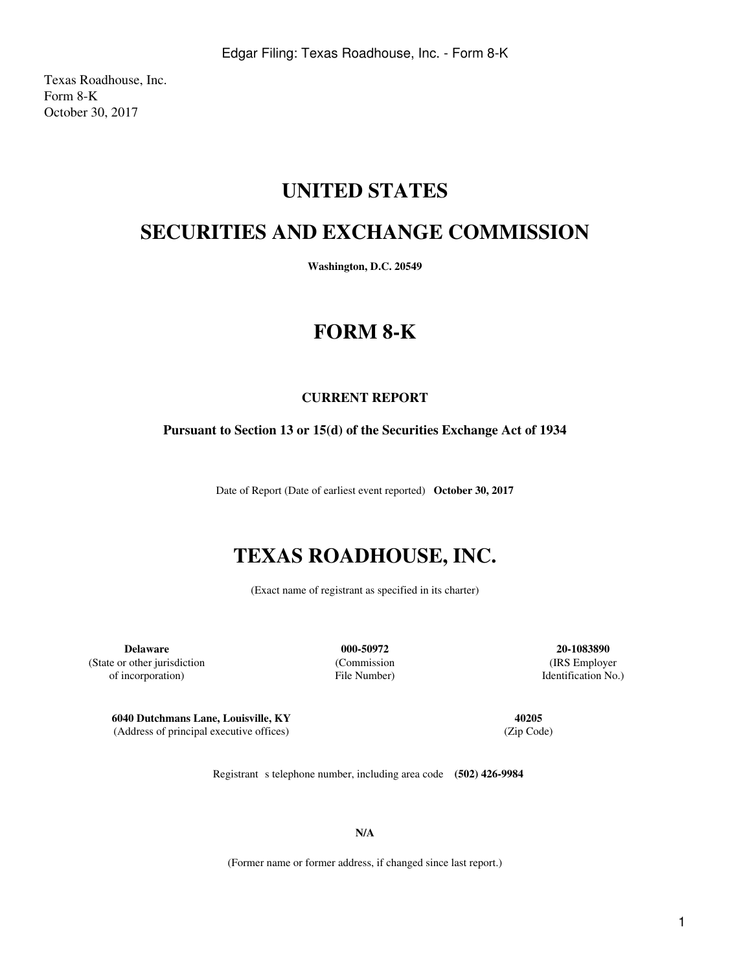Texas Roadhouse, Inc. Form 8-K October 30, 2017

## **UNITED STATES**

## **SECURITIES AND EXCHANGE COMMISSION**

**Washington, D.C. 20549**

# **FORM 8-K**

### **CURRENT REPORT**

#### **Pursuant to Section 13 or 15(d) of the Securities Exchange Act of 1934**

Date of Report (Date of earliest event reported) **October 30, 2017**

# **TEXAS ROADHOUSE, INC.**

(Exact name of registrant as specified in its charter)

**Delaware 000-50972 20-1083890** (State or other jurisdiction (Commission (IRS Employer of incorporation) File Number) Identification No.)

**6040 Dutchmans Lane, Louisville, KY 40205** (Address of principal executive offices) (Zip Code)

Registrant s telephone number, including area code **(502) 426-9984** 

**N/A**

(Former name or former address, if changed since last report.)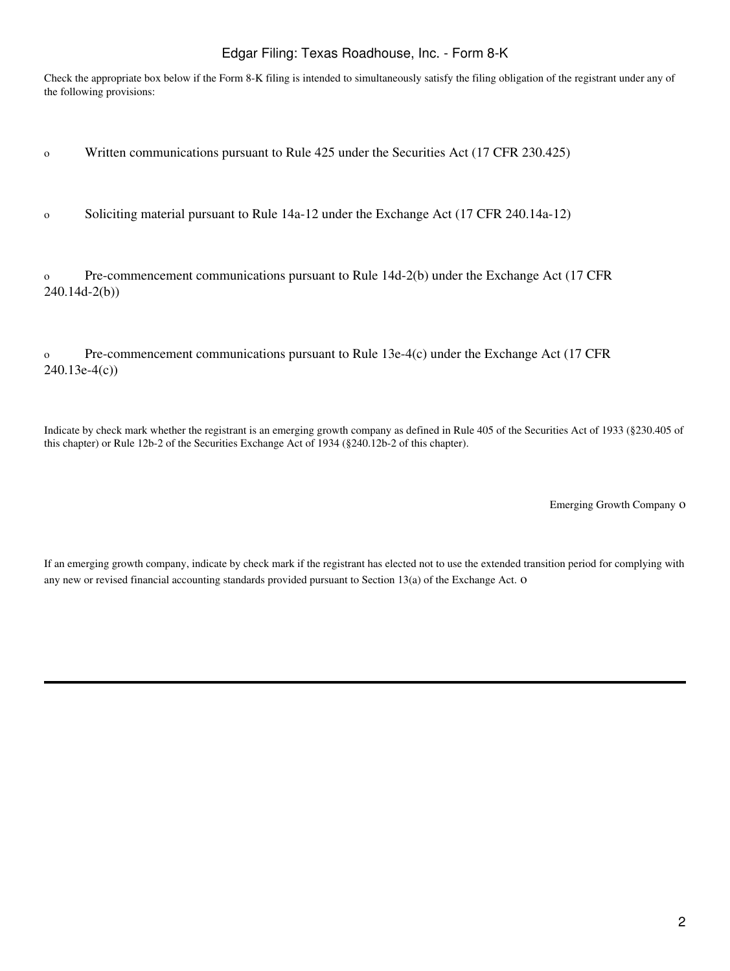#### Edgar Filing: Texas Roadhouse, Inc. - Form 8-K

Check the appropriate box below if the Form 8-K filing is intended to simultaneously satisfy the filing obligation of the registrant under any of the following provisions:

o Written communications pursuant to Rule 425 under the Securities Act (17 CFR 230.425)

o Soliciting material pursuant to Rule 14a-12 under the Exchange Act (17 CFR 240.14a-12)

o Pre-commencement communications pursuant to Rule 14d-2(b) under the Exchange Act (17 CFR 240.14d-2(b))

o Pre-commencement communications pursuant to Rule 13e-4(c) under the Exchange Act (17 CFR 240.13e-4(c))

Indicate by check mark whether the registrant is an emerging growth company as defined in Rule 405 of the Securities Act of 1933 (§230.405 of this chapter) or Rule 12b-2 of the Securities Exchange Act of 1934 (§240.12b-2 of this chapter).

Emerging Growth Company o

If an emerging growth company, indicate by check mark if the registrant has elected not to use the extended transition period for complying with any new or revised financial accounting standards provided pursuant to Section 13(a) of the Exchange Act. o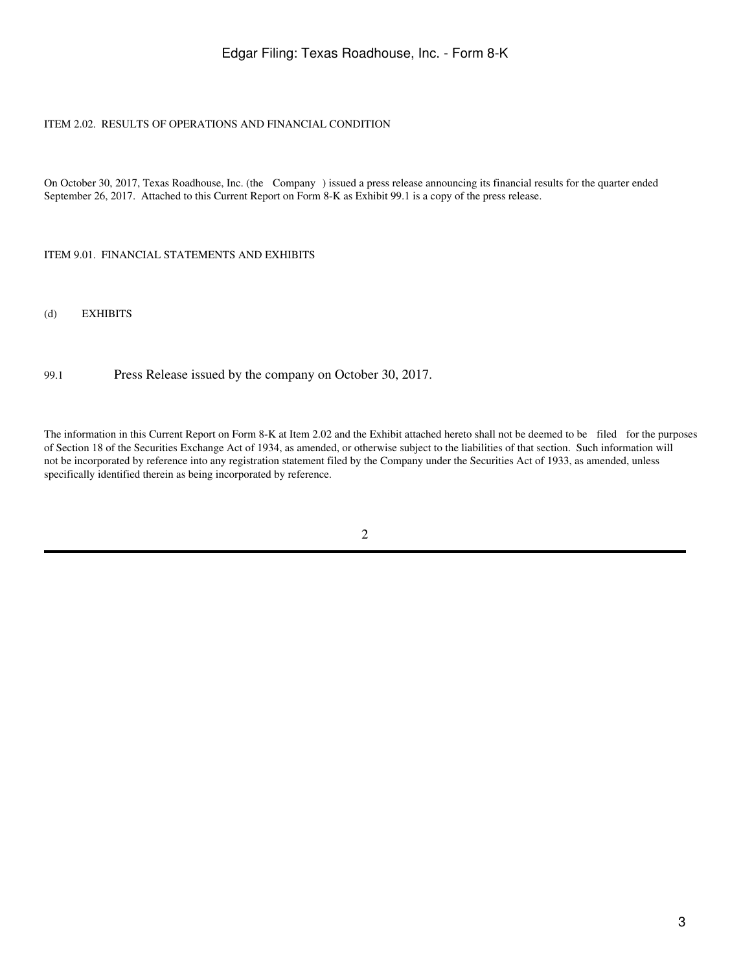#### Edgar Filing: Texas Roadhouse, Inc. - Form 8-K

#### ITEM 2.02. RESULTS OF OPERATIONS AND FINANCIAL CONDITION

On October 30, 2017, Texas Roadhouse, Inc. (the Company) issued a press release announcing its financial results for the quarter ended September 26, 2017. Attached to this Current Report on Form 8-K as Exhibit 99.1 is a copy of the press release.

ITEM 9.01. FINANCIAL STATEMENTS AND EXHIBITS

(d) EXHIBITS

99.1 Press Release issued by the company on October 30, 2017.

The information in this Current Report on Form 8-K at Item 2.02 and the Exhibit attached hereto shall not be deemed to be filed for the purposes of Section 18 of the Securities Exchange Act of 1934, as amended, or otherwise subject to the liabilities of that section. Such information will not be incorporated by reference into any registration statement filed by the Company under the Securities Act of 1933, as amended, unless specifically identified therein as being incorporated by reference.

2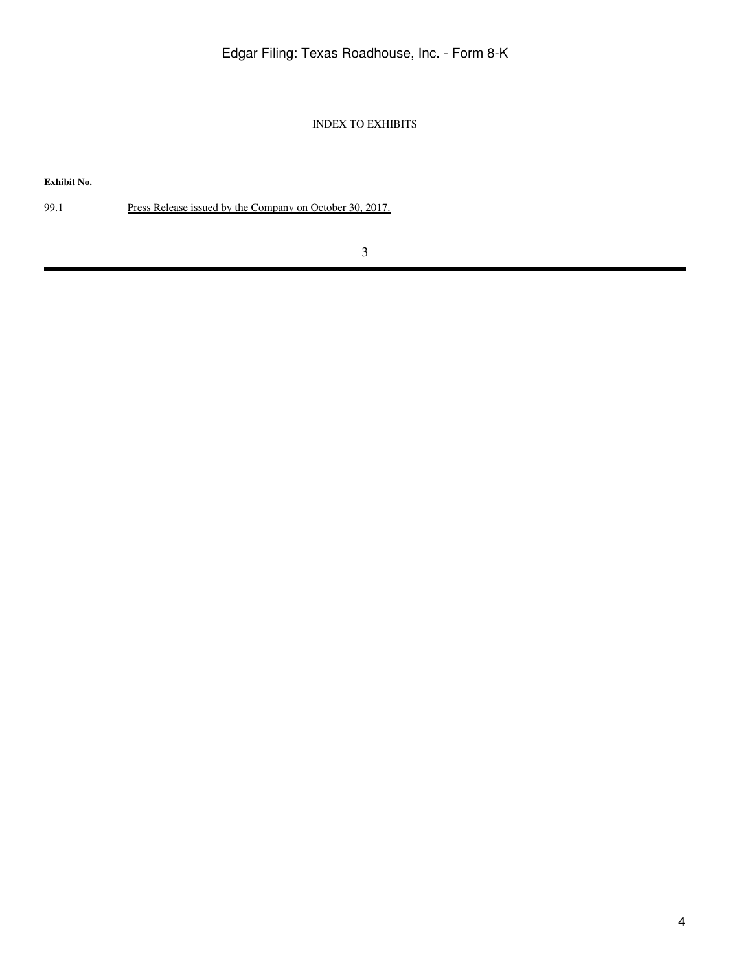INDEX TO EXHIBITS

**Exhibit No.**

99.1 Press Release issued by the Company on October 30, 2017.

3